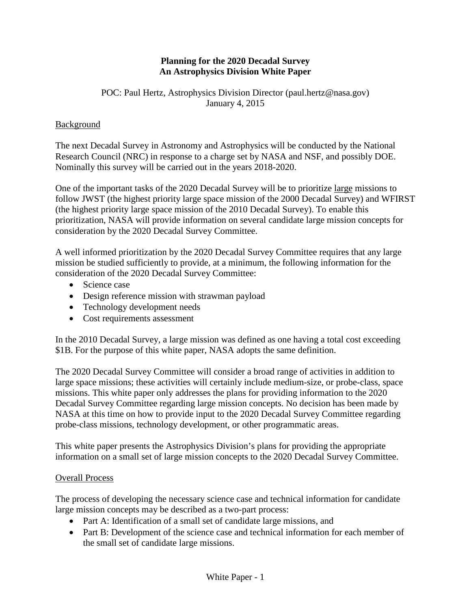#### **Planning for the 2020 Decadal Survey An Astrophysics Division White Paper**

#### POC: Paul Hertz, Astrophysics Division Director (paul.hertz@nasa.gov) January 4, 2015

#### **Background**

The next Decadal Survey in Astronomy and Astrophysics will be conducted by the National Research Council (NRC) in response to a charge set by NASA and NSF, and possibly DOE. Nominally this survey will be carried out in the years 2018-2020.

One of the important tasks of the 2020 Decadal Survey will be to prioritize large missions to follow JWST (the highest priority large space mission of the 2000 Decadal Survey) and WFIRST (the highest priority large space mission of the 2010 Decadal Survey). To enable this prioritization, NASA will provide information on several candidate large mission concepts for consideration by the 2020 Decadal Survey Committee.

A well informed prioritization by the 2020 Decadal Survey Committee requires that any large mission be studied sufficiently to provide, at a minimum, the following information for the consideration of the 2020 Decadal Survey Committee:

- Science case
- Design reference mission with strawman payload
- Technology development needs
- Cost requirements assessment

In the 2010 Decadal Survey*,* a large mission was defined as one having a total cost exceeding \$1B. For the purpose of this white paper, NASA adopts the same definition.

The 2020 Decadal Survey Committee will consider a broad range of activities in addition to large space missions; these activities will certainly include medium-size, or probe-class, space missions. This white paper only addresses the plans for providing information to the 2020 Decadal Survey Committee regarding large mission concepts. No decision has been made by NASA at this time on how to provide input to the 2020 Decadal Survey Committee regarding probe-class missions, technology development, or other programmatic areas.

This white paper presents the Astrophysics Division's plans for providing the appropriate information on a small set of large mission concepts to the 2020 Decadal Survey Committee.

#### Overall Process

The process of developing the necessary science case and technical information for candidate large mission concepts may be described as a two-part process:

- Part A: Identification of a small set of candidate large missions, and
- Part B: Development of the science case and technical information for each member of the small set of candidate large missions.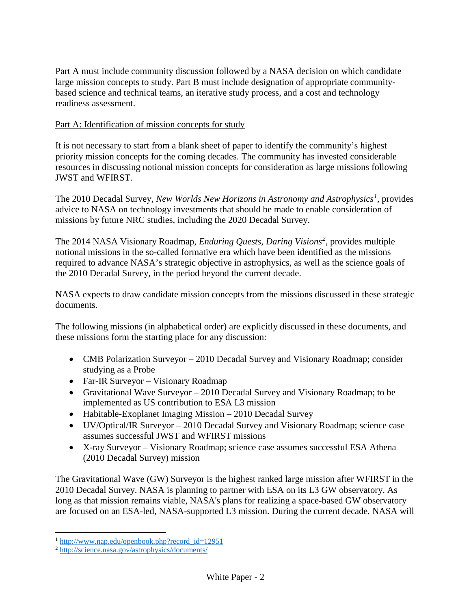Part A must include community discussion followed by a NASA decision on which candidate large mission concepts to study. Part B must include designation of appropriate communitybased science and technical teams, an iterative study process, and a cost and technology readiness assessment.

# Part A: Identification of mission concepts for study

It is not necessary to start from a blank sheet of paper to identify the community's highest priority mission concepts for the coming decades. The community has invested considerable resources in discussing notional mission concepts for consideration as large missions following JWST and WFIRST.

The 2010 Decadal Survey, *New Worlds New Horizons in Astronomy and Astrophysics<sup>1</sup>* , provides advice to NASA on technology investments that should be made to enable consideration of missions by future NRC studies, including the 2020 Decadal Survey.

The 2014 NASA Visionary Roadmap, *Enduring Quests, Daring Visions<sup>2</sup>* , provides multiple notional missions in the so-called formative era which have been identified as the missions required to advance NASA's strategic objective in astrophysics, as well as the science goals of the 2010 Decadal Survey, in the period beyond the current decade.

NASA expects to draw candidate mission concepts from the missions discussed in these strategic documents.

The following missions (in alphabetical order) are explicitly discussed in these documents, and these missions form the starting place for any discussion:

- CMB Polarization Surveyor 2010 Decadal Survey and Visionary Roadmap; consider studying as a Probe
- Far-IR Surveyor Visionary Roadmap
- Gravitational Wave Surveyor 2010 Decadal Survey and Visionary Roadmap; to be implemented as US contribution to ESA L3 mission
- Habitable-Exoplanet Imaging Mission 2010 Decadal Survey
- UV/Optical/IR Surveyor 2010 Decadal Survey and Visionary Roadmap; science case assumes successful JWST and WFIRST missions
- X-ray Surveyor Visionary Roadmap; science case assumes successful ESA Athena (2010 Decadal Survey) mission

The Gravitational Wave (GW) Surveyor is the highest ranked large mission after WFIRST in the 2010 Decadal Survey. NASA is planning to partner with ESA on its L3 GW observatory. As long as that mission remains viable, NASA's plans for realizing a space-based GW observatory are focused on an ESA-led, NASA-supported L3 mission. During the current decade, NASA will

 $1$  http://www.nap.edu/openbook.php?record id=12951

<sup>&</sup>lt;sup>2</sup> http://science.nasa.gov/astrophysics/documents/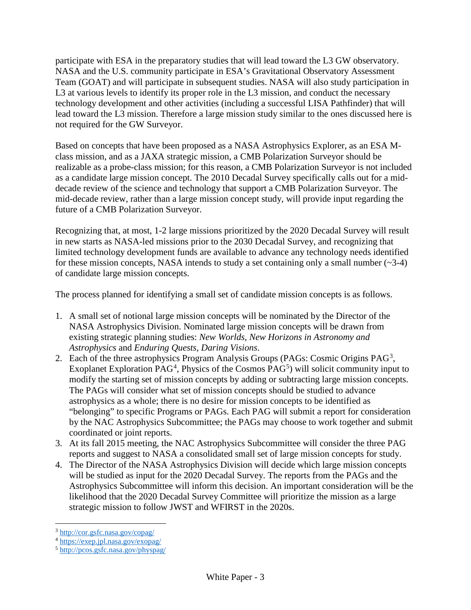participate with ESA in the preparatory studies that will lead toward the L3 GW observatory. NASA and the U.S. community participate in ESA's Gravitational Observatory Assessment Team (GOAT) and will participate in subsequent studies. NASA will also study participation in L3 at various levels to identify its proper role in the L3 mission, and conduct the necessary technology development and other activities (including a successful LISA Pathfinder) that will lead toward the L3 mission. Therefore a large mission study similar to the ones discussed here is not required for the GW Surveyor.

Based on concepts that have been proposed as a NASA Astrophysics Explorer, as an ESA Mclass mission, and as a JAXA strategic mission, a CMB Polarization Surveyor should be realizable as a probe-class mission; for this reason, a CMB Polarization Surveyor is not included as a candidate large mission concept. The 2010 Decadal Survey specifically calls out for a middecade review of the science and technology that support a CMB Polarization Surveyor. The mid-decade review, rather than a large mission concept study, will provide input regarding the future of a CMB Polarization Surveyor.

Recognizing that, at most, 1-2 large missions prioritized by the 2020 Decadal Survey will result in new starts as NASA-led missions prior to the 2030 Decadal Survey, and recognizing that limited technology development funds are available to advance any technology needs identified for these mission concepts, NASA intends to study a set containing only a small number  $(\sim 3-4)$ of candidate large mission concepts.

The process planned for identifying a small set of candidate mission concepts is as follows.

- 1. A small set of notional large mission concepts will be nominated by the Director of the NASA Astrophysics Division. Nominated large mission concepts will be drawn from existing strategic planning studies: *New Worlds, New Horizons in Astronomy and Astrophysics* and *Enduring Quests, Daring Visions*.
- 2. Each of the three astrophysics Program Analysis Groups (PAGs: Cosmic Origins PAG<sup>3</sup>, Exoplanet Exploration PAG<sup>4</sup>, Physics of the Cosmos PAG<sup>5</sup>) will solicit community input to modify the starting set of mission concepts by adding or subtracting large mission concepts. The PAGs will consider what set of mission concepts should be studied to advance astrophysics as a whole; there is no desire for mission concepts to be identified as "belonging" to specific Programs or PAGs. Each PAG will submit a report for consideration by the NAC Astrophysics Subcommittee; the PAGs may choose to work together and submit coordinated or joint reports.
- 3. At its fall 2015 meeting, the NAC Astrophysics Subcommittee will consider the three PAG reports and suggest to NASA a consolidated small set of large mission concepts for study.
- 4. The Director of the NASA Astrophysics Division will decide which large mission concepts will be studied as input for the 2020 Decadal Survey. The reports from the PAGs and the Astrophysics Subcommittee will inform this decision. An important consideration will be the likelihood that the 2020 Decadal Survey Committee will prioritize the mission as a large strategic mission to follow JWST and WFIRST in the 2020s.

<sup>3</sup> http://cor.gsfc.nasa.gov/copag/ 4 [https://exep.jpl.nasa.gov/exopag/](https://exoplanets.nasa.gov) 5 http://pcos.gsfc.nasa.gov/physpag/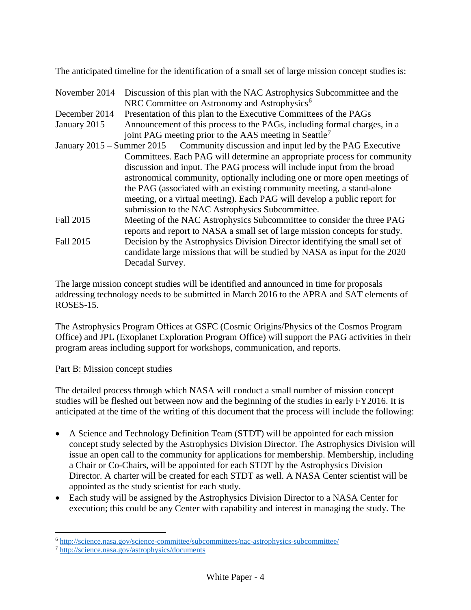The anticipated timeline for the identification of a small set of large mission concept studies is:

- November 2014 Discussion of this plan with the NAC Astrophysics Subcommittee and the NRC Committee on Astronomy and Astrophysics<sup>6</sup>
- December 2014 Presentation of this plan to the Executive Committees of the PAGs
- January 2015 Announcement of this process to the PAGs, including formal charges, in a joint PAG meeting prior to the AAS meeting in Seattle<sup>7</sup>
- January 2015 Summer 2015 Community discussion and input led by the PAG Executive Committees. Each PAG will determine an appropriate process for community discussion and input. The PAG process will include input from the broad astronomical community, optionally including one or more open meetings of the PAG (associated with an existing community meeting, a stand-alone meeting, or a virtual meeting). Each PAG will develop a public report for submission to the NAC Astrophysics Subcommittee.
- Fall 2015 Meeting of the NAC Astrophysics Subcommittee to consider the three PAG reports and report to NASA a small set of large mission concepts for study. Fall 2015 Decision by the Astrophysics Division Director identifying the small set of candidate large missions that will be studied by NASA as input for the 2020 Decadal Survey.

The large mission concept studies will be identified and announced in time for proposals addressing technology needs to be submitted in March 2016 to the APRA and SAT elements of ROSES-15.

The Astrophysics Program Offices at GSFC (Cosmic Origins/Physics of the Cosmos Program Office) and JPL (Exoplanet Exploration Program Office) will support the PAG activities in their program areas including support for workshops, communication, and reports.

## Part B: Mission concept studies

The detailed process through which NASA will conduct a small number of mission concept studies will be fleshed out between now and the beginning of the studies in early FY2016. It is anticipated at the time of the writing of this document that the process will include the following:

- A Science and Technology Definition Team (STDT) will be appointed for each mission concept study selected by the Astrophysics Division Director. The Astrophysics Division will issue an open call to the community for applications for membership. Membership, including a Chair or Co-Chairs, will be appointed for each STDT by the Astrophysics Division Director. A charter will be created for each STDT as well. A NASA Center scientist will be appointed as the study scientist for each study.
- Each study will be assigned by the Astrophysics Division Director to a NASA Center for execution; this could be any Center with capability and interest in managing the study. The

 $\overline{a}$ 

<sup>6</sup> http://science.nasa.gov/science-committee/subcommittees/nac-astrophysics-subcommittee/ 7 http://science.nasa.gov/astrophysics/documents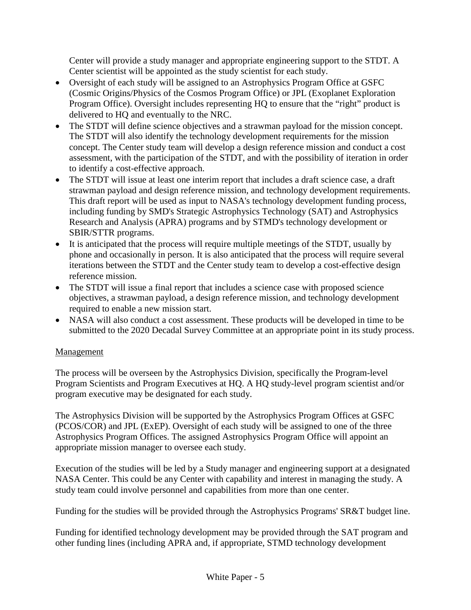Center will provide a study manager and appropriate engineering support to the STDT. A Center scientist will be appointed as the study scientist for each study.

- Oversight of each study will be assigned to an Astrophysics Program Office at GSFC (Cosmic Origins/Physics of the Cosmos Program Office) or JPL (Exoplanet Exploration Program Office). Oversight includes representing HQ to ensure that the "right" product is delivered to HQ and eventually to the NRC.
- The STDT will define science objectives and a strawman payload for the mission concept. The STDT will also identify the technology development requirements for the mission concept. The Center study team will develop a design reference mission and conduct a cost assessment, with the participation of the STDT, and with the possibility of iteration in order to identify a cost-effective approach.
- The STDT will issue at least one interim report that includes a draft science case, a draft strawman payload and design reference mission, and technology development requirements. This draft report will be used as input to NASA's technology development funding process, including funding by SMD's Strategic Astrophysics Technology (SAT) and Astrophysics Research and Analysis (APRA) programs and by STMD's technology development or SBIR/STTR programs.
- It is anticipated that the process will require multiple meetings of the STDT, usually by phone and occasionally in person. It is also anticipated that the process will require several iterations between the STDT and the Center study team to develop a cost-effective design reference mission.
- The STDT will issue a final report that includes a science case with proposed science objectives, a strawman payload, a design reference mission, and technology development required to enable a new mission start.
- NASA will also conduct a cost assessment. These products will be developed in time to be submitted to the 2020 Decadal Survey Committee at an appropriate point in its study process.

# Management

The process will be overseen by the Astrophysics Division, specifically the Program-level Program Scientists and Program Executives at HQ. A HQ study-level program scientist and/or program executive may be designated for each study.

The Astrophysics Division will be supported by the Astrophysics Program Offices at GSFC (PCOS/COR) and JPL (ExEP). Oversight of each study will be assigned to one of the three Astrophysics Program Offices. The assigned Astrophysics Program Office will appoint an appropriate mission manager to oversee each study.

Execution of the studies will be led by a Study manager and engineering support at a designated NASA Center. This could be any Center with capability and interest in managing the study. A study team could involve personnel and capabilities from more than one center.

Funding for the studies will be provided through the Astrophysics Programs' SR&T budget line.

Funding for identified technology development may be provided through the SAT program and other funding lines (including APRA and, if appropriate, STMD technology development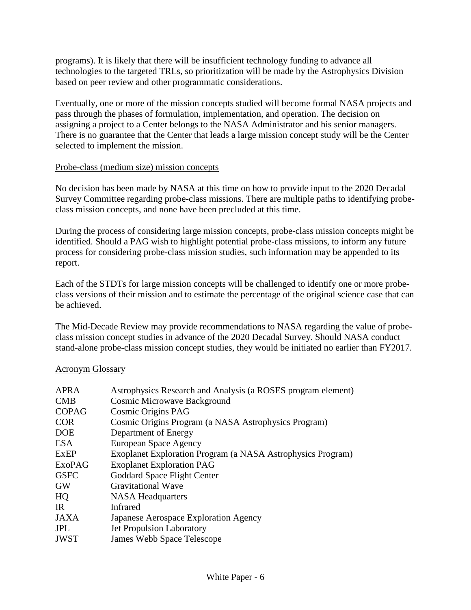programs). It is likely that there will be insufficient technology funding to advance all technologies to the targeted TRLs, so prioritization will be made by the Astrophysics Division based on peer review and other programmatic considerations.

Eventually, one or more of the mission concepts studied will become formal NASA projects and pass through the phases of formulation, implementation, and operation. The decision on assigning a project to a Center belongs to the NASA Administrator and his senior managers. There is no guarantee that the Center that leads a large mission concept study will be the Center selected to implement the mission.

#### Probe-class (medium size) mission concepts

No decision has been made by NASA at this time on how to provide input to the 2020 Decadal Survey Committee regarding probe-class missions. There are multiple paths to identifying probeclass mission concepts, and none have been precluded at this time.

During the process of considering large mission concepts, probe-class mission concepts might be identified. Should a PAG wish to highlight potential probe-class missions, to inform any future process for considering probe-class mission studies, such information may be appended to its report.

Each of the STDTs for large mission concepts will be challenged to identify one or more probeclass versions of their mission and to estimate the percentage of the original science case that can be achieved.

The Mid-Decade Review may provide recommendations to NASA regarding the value of probeclass mission concept studies in advance of the 2020 Decadal Survey. Should NASA conduct stand-alone probe-class mission concept studies, they would be initiated no earlier than FY2017.

## Acronym Glossary

| <b>APRA</b>  | Astrophysics Research and Analysis (a ROSES program element) |
|--------------|--------------------------------------------------------------|
| CMB          | <b>Cosmic Microwave Background</b>                           |
| <b>COPAG</b> | Cosmic Origins PAG                                           |
| <b>COR</b>   | Cosmic Origins Program (a NASA Astrophysics Program)         |
| <b>DOE</b>   | Department of Energy                                         |
| ESA          | European Space Agency                                        |
| ExEP         | Exoplanet Exploration Program (a NASA Astrophysics Program)  |
| ExoPAG       | <b>Exoplanet Exploration PAG</b>                             |
| <b>GSFC</b>  | Goddard Space Flight Center                                  |
| <b>GW</b>    | <b>Gravitational Wave</b>                                    |
| HQ           | <b>NASA Headquarters</b>                                     |
| <b>IR</b>    | <b>Infrared</b>                                              |
| JAXA         | Japanese Aerospace Exploration Agency                        |
| <b>JPL</b>   | <b>Jet Propulsion Laboratory</b>                             |
| <b>JWST</b>  | James Webb Space Telescope                                   |
|              |                                                              |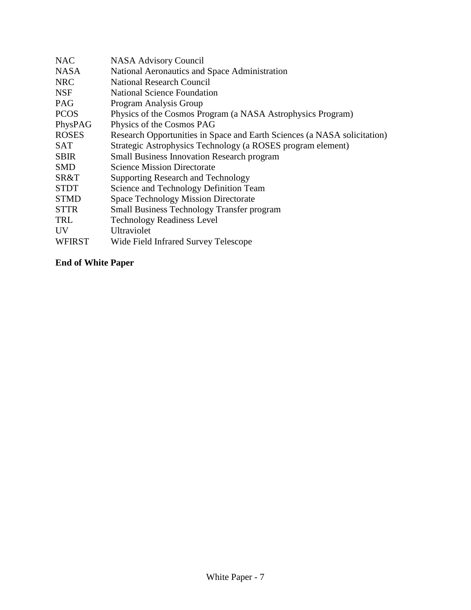| <b>NAC</b>     | NASA Advisory Council                                                    |
|----------------|--------------------------------------------------------------------------|
| <b>NASA</b>    | National Aeronautics and Space Administration                            |
| <b>NRC</b>     | <b>National Research Council</b>                                         |
| <b>NSF</b>     | <b>National Science Foundation</b>                                       |
| <b>PAG</b>     | Program Analysis Group                                                   |
| <b>PCOS</b>    | Physics of the Cosmos Program (a NASA Astrophysics Program)              |
| PhysPAG        | Physics of the Cosmos PAG                                                |
| <b>ROSES</b>   | Research Opportunities in Space and Earth Sciences (a NASA solicitation) |
| <b>SAT</b>     | Strategic Astrophysics Technology (a ROSES program element)              |
| <b>SBIR</b>    | <b>Small Business Innovation Research program</b>                        |
| <b>SMD</b>     | <b>Science Mission Directorate</b>                                       |
| SR&T           | <b>Supporting Research and Technology</b>                                |
| <b>STDT</b>    | Science and Technology Definition Team                                   |
| <b>STMD</b>    | <b>Space Technology Mission Directorate</b>                              |
| <b>STTR</b>    | <b>Small Business Technology Transfer program</b>                        |
| TRL            | <b>Technology Readiness Level</b>                                        |
| UV <sub></sub> | Ultraviolet                                                              |
| <b>WFIRST</b>  | Wide Field Infrared Survey Telescope                                     |

# **End of White Paper**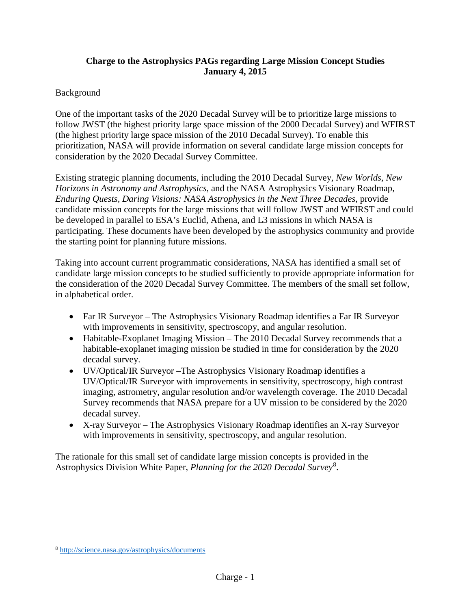# **Charge to the Astrophysics PAGs regarding Large Mission Concept Studies January 4, 2015**

# **Background**

One of the important tasks of the 2020 Decadal Survey will be to prioritize large missions to follow JWST (the highest priority large space mission of the 2000 Decadal Survey) and WFIRST (the highest priority large space mission of the 2010 Decadal Survey). To enable this prioritization, NASA will provide information on several candidate large mission concepts for consideration by the 2020 Decadal Survey Committee.

Existing strategic planning documents, including the 2010 Decadal Survey, *New Worlds, New Horizons in Astronomy and Astrophysics*, and the NASA Astrophysics Visionary Roadmap, *Enduring Quests, Daring Visions: NASA Astrophysics in the Next Three Decades*, provide candidate mission concepts for the large missions that will follow JWST and WFIRST and could be developed in parallel to ESA's Euclid, Athena, and L3 missions in which NASA is participating. These documents have been developed by the astrophysics community and provide the starting point for planning future missions.

Taking into account current programmatic considerations, NASA has identified a small set of candidate large mission concepts to be studied sufficiently to provide appropriate information for the consideration of the 2020 Decadal Survey Committee. The members of the small set follow, in alphabetical order.

- Far IR Surveyor The Astrophysics Visionary Roadmap identifies a Far IR Surveyor with improvements in sensitivity, spectroscopy, and angular resolution.
- Habitable-Exoplanet Imaging Mission The 2010 Decadal Survey recommends that a habitable-exoplanet imaging mission be studied in time for consideration by the 2020 decadal survey.
- UV/Optical/IR Surveyor –The Astrophysics Visionary Roadmap identifies a UV/Optical/IR Surveyor with improvements in sensitivity, spectroscopy, high contrast imaging, astrometry, angular resolution and/or wavelength coverage. The 2010 Decadal Survey recommends that NASA prepare for a UV mission to be considered by the 2020 decadal survey.
- X-ray Surveyor The Astrophysics Visionary Roadmap identifies an X-ray Surveyor with improvements in sensitivity, spectroscopy, and angular resolution.

The rationale for this small set of candidate large mission concepts is provided in the Astrophysics Division White Paper, *Planning for the 2020 Decadal Survey*<sup>8</sup> .

 $\overline{a}$ 

<sup>8</sup> http://science.nasa.gov/astrophysics/documents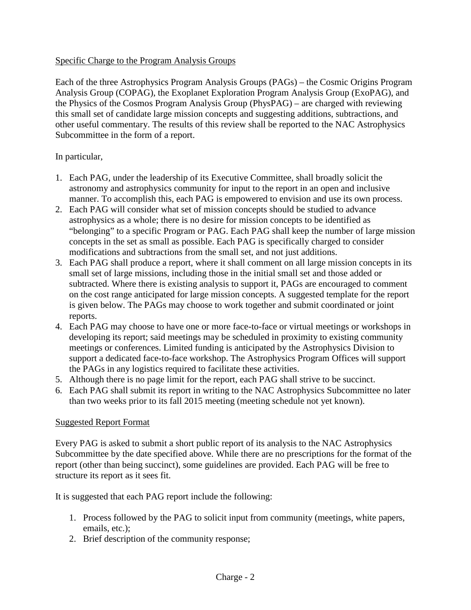#### Specific Charge to the Program Analysis Groups

Each of the three Astrophysics Program Analysis Groups (PAGs) – the Cosmic Origins Program Analysis Group (COPAG), the Exoplanet Exploration Program Analysis Group (ExoPAG), and the Physics of the Cosmos Program Analysis Group (PhysPAG) – are charged with reviewing this small set of candidate large mission concepts and suggesting additions, subtractions, and other useful commentary. The results of this review shall be reported to the NAC Astrophysics Subcommittee in the form of a report.

#### In particular,

- 1. Each PAG, under the leadership of its Executive Committee, shall broadly solicit the astronomy and astrophysics community for input to the report in an open and inclusive manner. To accomplish this, each PAG is empowered to envision and use its own process.
- 2. Each PAG will consider what set of mission concepts should be studied to advance astrophysics as a whole; there is no desire for mission concepts to be identified as "belonging" to a specific Program or PAG. Each PAG shall keep the number of large mission concepts in the set as small as possible. Each PAG is specifically charged to consider modifications and subtractions from the small set, and not just additions.
- 3. Each PAG shall produce a report, where it shall comment on all large mission concepts in its small set of large missions, including those in the initial small set and those added or subtracted. Where there is existing analysis to support it, PAGs are encouraged to comment on the cost range anticipated for large mission concepts. A suggested template for the report is given below. The PAGs may choose to work together and submit coordinated or joint reports.
- 4. Each PAG may choose to have one or more face-to-face or virtual meetings or workshops in developing its report; said meetings may be scheduled in proximity to existing community meetings or conferences. Limited funding is anticipated by the Astrophysics Division to support a dedicated face-to-face workshop. The Astrophysics Program Offices will support the PAGs in any logistics required to facilitate these activities.
- 5. Although there is no page limit for the report, each PAG shall strive to be succinct.
- 6. Each PAG shall submit its report in writing to the NAC Astrophysics Subcommittee no later than two weeks prior to its fall 2015 meeting (meeting schedule not yet known).

## Suggested Report Format

Every PAG is asked to submit a short public report of its analysis to the NAC Astrophysics Subcommittee by the date specified above. While there are no prescriptions for the format of the report (other than being succinct), some guidelines are provided. Each PAG will be free to structure its report as it sees fit.

It is suggested that each PAG report include the following:

- 1. Process followed by the PAG to solicit input from community (meetings, white papers, emails, etc.);
- 2. Brief description of the community response;